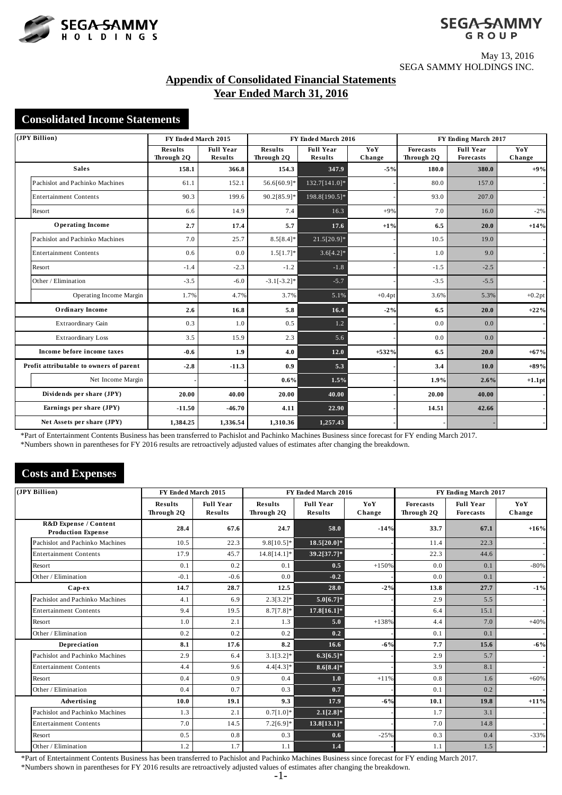



May 13, 2016 SEGA SAMMY HOLDINGS INC.

# **Appendix of Consolidated Financial Statements Year Ended March 31, 2016**

## **Consolidated Income Statements**

| (JPY Billion)                           | FY Ended March 2015          |                             |                              | FY Ended March 2016                |               | FY Ending March 2017           |                                      |               |
|-----------------------------------------|------------------------------|-----------------------------|------------------------------|------------------------------------|---------------|--------------------------------|--------------------------------------|---------------|
|                                         | <b>Results</b><br>Through 2Q | <b>Full Year</b><br>Results | <b>Results</b><br>Through 2Q | <b>Full Year</b><br><b>Results</b> | YoY<br>Change | <b>Forecasts</b><br>Through 20 | <b>Full Year</b><br><b>Forecasts</b> | YoY<br>Change |
| <b>Sales</b>                            | 158.1                        | 366.8                       | 154.3                        | 347.9                              | $-5%$         | 180.0                          | 380.0                                | $+9%$         |
| Pachislot and Pachinko Machines         | 61.1                         | 152.1                       | 56.6[60.9]*                  | 132.7[141.0]*                      |               | 80.0                           | 157.0                                |               |
| <b>Entertainment Contents</b>           | 90.3                         | 199.6                       | 90.2[85.9]*                  | 198.8[190.5]*                      |               | 93.0                           | 207.0                                |               |
| Resort                                  | 6.6                          | 14.9                        | 7.4                          | 16.3                               | $+9%$         | 7.0                            | 16.0                                 | $-2%$         |
| <b>Operating Income</b>                 | 2.7                          | 17.4                        | 5.7                          | 17.6                               | $+1%$         | 6.5                            | 20.0                                 | $+14%$        |
| Pachislot and Pachinko Machines         | 7.0                          | 25.7                        | $8.5[8.4]*$                  | 21.5[20.9]*                        |               | 10.5                           | 19.0                                 |               |
| <b>Entertainment Contents</b>           | 0.6                          | 0.0                         | $1.5[1.7]*$                  | $3.6[4.2]*$                        |               | 1.0                            | 9.0                                  |               |
| Resort                                  | $-1.4$                       | $-2.3$                      | $-1.2$                       | $-1.8$                             |               | $-1.5$                         | $-2.5$                               |               |
| Other / Elimination                     | $-3.5$                       | $-6.0$                      | $-3.1[-3.2]*$                | $-5.7$                             |               | $-3.5$                         | $-5.5$                               |               |
| Operating Income Margin                 | 1.7%                         | 4.7%                        | 3.7%                         | 5.1%                               | $+0.4pt$      | 3.6%                           | 5.3%                                 | $+0.2pt$      |
| <b>Ordinary Income</b>                  | 2.6                          | 16.8                        | 5.8                          | 16.4                               | $-2%$         | 6.5                            | 20.0                                 | $+22%$        |
| Extraordinary Gain                      | 0.3                          | 1.0                         | 0.5                          | 1.2                                |               | 0.0                            | 0.0                                  |               |
| Extraordinary Loss                      | 3.5                          | 15.9                        | 2.3                          | 5.6                                |               | 0.0                            | 0.0                                  |               |
| Income before income taxes              | $-0.6$                       | 1.9                         | 4.0                          | 12.0                               | $+532%$       | 6.5                            | 20.0                                 | $+67%$        |
| Profit attributable to owners of parent | $-2.8$                       | $-11.3$                     | 0.9                          | 5.3                                |               | 3.4                            | 10.0                                 | $+89%$        |
| Net Income Margin                       |                              |                             | 0.6%                         | 1.5%                               |               | 1.9%                           | 2.6%                                 | $+1.1$ pt     |
| Dividends per share (JPY)               | 20.00                        | 40.00                       | 20.00                        | 40.00                              |               | 20.00                          | 40.00                                |               |
| Earnings per share (JPY)                | $-11.50$                     | $-46.70$                    | 4.11                         | 22.90                              |               | 14.51                          | 42.66                                |               |
| Net Assets per share (JPY)              | 1.384.25                     | 1,336.54                    | 1,310.36                     | 1,257.43                           |               |                                |                                      |               |

\*Part of Entertainment Contents Business has been transferred to Pachislot and Pachinko Machines Business since forecast for FY ending March 2017.

\*Numbers shown in parentheses for FY 2016 results are retroactively adjusted values of estimates after changing the breakdown.

# **Costs and Expenses**

| (JPY Billion) |                                                               | FY Ended March 2015          |                                    |                              | FY Ended March 2016                |               | FY Ending March 2017           |                                      |               |  |
|---------------|---------------------------------------------------------------|------------------------------|------------------------------------|------------------------------|------------------------------------|---------------|--------------------------------|--------------------------------------|---------------|--|
|               |                                                               | <b>Results</b><br>Through 2Q | <b>Full Year</b><br><b>Results</b> | <b>Results</b><br>Through 20 | <b>Full Year</b><br><b>Results</b> | YoY<br>Change | <b>Forecasts</b><br>Through 20 | <b>Full Year</b><br><b>Forecasts</b> | YoY<br>Change |  |
|               | <b>R&amp;D Expense / Content</b><br><b>Production Expense</b> | 28.4                         | 67.6                               | 24.7                         | 58.0                               | $-14%$        | 33.7                           | 67.1                                 | $+16%$        |  |
|               | Pachislot and Pachinko Machines                               | 10.5                         | 22.3                               | $9.8[10.5]*$                 | 18.5[20.0]*                        |               | 11.4                           | 22.3                                 |               |  |
|               | <b>Entertainment Contents</b>                                 | 17.9                         | 45.7                               | 14.8[14.1]*                  | 39.2[37.7]*                        |               | 22.3                           | 44.6                                 |               |  |
|               | Resort                                                        | 0.1                          | 0.2                                | 0.1                          | 0.5                                | $+150%$       | 0.0                            | 0.1                                  | $-80%$        |  |
|               | Other / Elimination                                           | $-0.1$                       | $-0.6$                             | 0.0                          | $-0.2$                             |               | 0.0                            | 0.1                                  |               |  |
|               | Cap-ex                                                        | 14.7                         | 28.7                               | 12.5                         | 28.0                               | $-2%$         | 13.8                           | 27.7                                 | $-1%$         |  |
|               | Pachislot and Pachinko Machines                               | 4.1                          | 6.9                                | $2.3[3.2]*$                  | $5.0[6.7]*$                        |               | 2.9                            | 5.5                                  |               |  |
|               | <b>Entertainment Contents</b>                                 | 9.4                          | 19.5                               | $8.7[7.8]*$                  | $17.8[16.1]*$                      |               | 6.4                            | 15.1                                 |               |  |
|               | Resort                                                        | 1.0                          | 2.1                                | 1.3                          | 5.0                                | $+138%$       | 4.4                            | 7.0                                  | $+40%$        |  |
|               | Other / Elimination                                           | 0.2                          | 0.2                                | 0.2                          | 0.2                                |               | 0.1                            | 0.1                                  |               |  |
|               | Depreciation                                                  | 8.1                          | 17.6                               | 8.2                          | 16.6                               | $-6%$         | 7.7                            | 15.6                                 | $-6%$         |  |
|               | Pachislot and Pachinko Machines                               | 2.9                          | 6.4                                | $3.1[3.2]*$                  | $6.3[6.5]*$                        |               | 2.9                            | 5.7                                  |               |  |
|               | <b>Entertainment Contents</b>                                 | 4.4                          | 9.6                                | $4.4[4.3]*$                  | $8.6[8.4]*$                        |               | 3.9                            | 8.1                                  |               |  |
|               | Resort                                                        | 0.4                          | 0.9                                | 0.4                          | 1.0                                | $+11%$        | 0.8                            | 1.6                                  | $+60%$        |  |
|               | Other / Elimination                                           | 0.4                          | 0.7                                | 0.3                          | 0.7                                |               | 0.1                            | 0.2                                  |               |  |
|               | Advertising                                                   | 10.0                         | 19.1                               | 9.3                          | 17.9                               | $-6%$         | 10.1                           | 19.8                                 | $+11\%$       |  |
|               | Pachislot and Pachinko Machines                               | 1.3                          | 2.1                                | $0.7[1.0]*$                  | $2.1[2.8]*$                        |               | 1.7                            | 3.1                                  |               |  |
|               | <b>Entertainment Contents</b>                                 | 7.0                          | 14.5                               | $7.2[6.9]*$                  | 13.8[13.1]*                        |               | 7.0                            | 14.8                                 |               |  |
|               | Resort                                                        | 0.5                          | 0.8                                | 0.3                          | 0.6                                | $-25%$        | 0.3                            | 0.4                                  | $-33%$        |  |
|               | Other / Elimination                                           | 1.2                          | 1.7                                | 1.1                          | 1.4                                |               | 1.1                            | 1.5                                  |               |  |

\*Part of Entertainment Contents Business has been transferred to Pachislot and Pachinko Machines Business since forecast for FY ending March 2017.

\*Numbers shown in parentheses for FY 2016 results are retroactively adjusted values of estimates after changing the breakdown.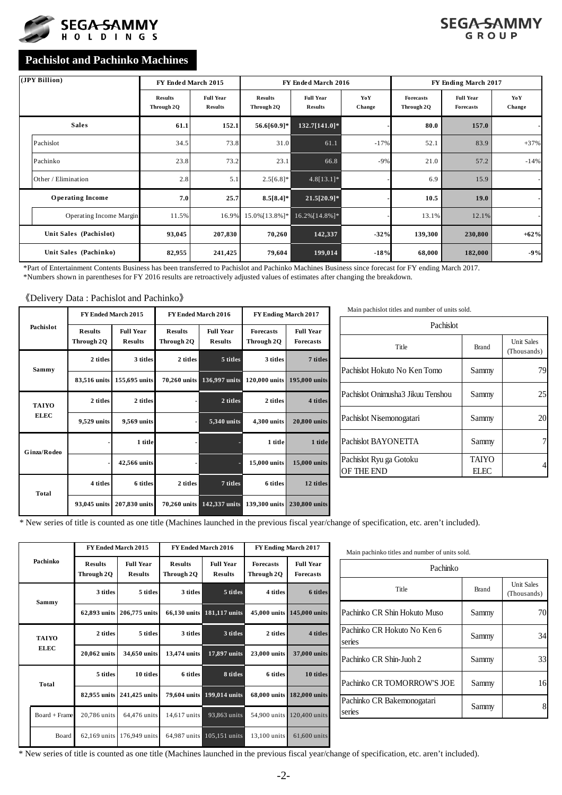



# **Pachislot and Pachinko Machines**

| (JPY Billion)                  | FY Ended March 2015          |                                    |                              | FY Ended March 2016                |               |                                | FY Ending March 2017                 |                          |
|--------------------------------|------------------------------|------------------------------------|------------------------------|------------------------------------|---------------|--------------------------------|--------------------------------------|--------------------------|
|                                | <b>Results</b><br>Through 2Q | <b>Full Year</b><br><b>Results</b> | <b>Results</b><br>Through 2Q | <b>Full Year</b><br><b>Results</b> | YoY<br>Change | <b>Forecasts</b><br>Through 2Q | <b>Full Year</b><br><b>Forecasts</b> | YoY<br>Change            |
| <b>Sales</b>                   | 61.1                         | 152.1                              | 56.6[60.9]*                  | $132.7[141.0]*$                    |               | 80.0                           | 157.0                                |                          |
| Pachislot                      | 34.5                         | 73.8                               | 31.0                         | 61.1                               | $-17%$        | 52.1                           | 83.9                                 | $+37%$                   |
| Pachinko                       | 23.8                         | 73.2                               | 23.1                         | 66.8                               | $-9%$         | 21.0                           | 57.2                                 | $-14%$                   |
| Other / Elimination            | 2.8                          | 5.1                                | $2.5[6.8]*$                  | $4.8[13.1]*$                       |               | 6.9                            | 15.9                                 | $\overline{\phantom{a}}$ |
| <b>Operating Income</b>        | 7.0                          | 25.7                               | $8.5[8.4]*$                  | $21.5[20.9]*$                      |               | 10.5                           | <b>19.0</b>                          |                          |
| <b>Operating Income Margin</b> | 11.5%                        | 16.9%                              | 15.0% [13.8%]*               | 16.2% [14.8%]*                     |               | 13.1%                          | 12.1%                                |                          |
| Unit Sales (Pachislot)         | 93,045                       | 207,830                            | 70,260                       | 142,337                            | $-32%$        | 139,300                        | 230,800                              | $+62%$                   |
| Unit Sales (Pachinko)          | 82,955                       | 241,425                            | 79,604                       | 199,014                            | $-18%$        | 68,000                         | 182,000                              | $-9%$                    |

\*Part of Entertainment Contents Business has been transferred to Pachislot and Pachinko Machines Business since forecast for FY ending March 2017.

\*Numbers shown in parentheses for FY 2016 results are retroactively adjusted values of estimates after changing the breakdown.

#### 《Delivery Data : Pachislot and Pachinko》

|              |                              | FY Ended March 2015                |                              | FY Ended March 2016                                                                                                                                                                                                                     | FY Ending March 2017                 |               |  |  |
|--------------|------------------------------|------------------------------------|------------------------------|-----------------------------------------------------------------------------------------------------------------------------------------------------------------------------------------------------------------------------------------|--------------------------------------|---------------|--|--|
| Pachislot    | <b>Results</b><br>Through 2Q | <b>Full Year</b><br><b>Results</b> | <b>Results</b><br>Through 2Q | <b>Full Year</b><br><b>Forecasts</b><br><b>Results</b><br>Through 2Q<br>5 titles<br>3 titles<br>136,997 units<br>120,000 units<br>2 titles<br>2 titles<br>4,300 units<br>5,340 units<br>1 title<br>15,000 units<br>7 titles<br>6 titles | <b>Full Year</b><br><b>Forecasts</b> |               |  |  |
| Sammy        | 2 titles                     | 3 titles                           | 2 titles                     |                                                                                                                                                                                                                                         |                                      | 7 titles      |  |  |
|              | 83,516 units                 | 155,695 units                      | 70,260 units                 |                                                                                                                                                                                                                                         |                                      | 195,000 units |  |  |
| <b>TAIYO</b> | 2 titles                     | 2 titles                           |                              |                                                                                                                                                                                                                                         |                                      | 4 titles      |  |  |
| <b>ELEC</b>  | 9,529 units                  | 9,569 units                        |                              |                                                                                                                                                                                                                                         |                                      | 20,800 units  |  |  |
| Ginza/Rodeo  |                              | 1 title                            |                              |                                                                                                                                                                                                                                         |                                      | 1 title       |  |  |
|              |                              | 42,566 units                       |                              |                                                                                                                                                                                                                                         |                                      | 15,000 units  |  |  |
| Total        | 4 titles                     | 6 titles                           | 2 titles                     |                                                                                                                                                                                                                                         |                                      | 12 titles     |  |  |
|              | 93,045 units                 | 207,830 units                      | 70,260 units                 |                                                                                                                                                                                                                                         | 142,337 units 139,300 units          | 230,800 units |  |  |

| Pachislot                             |                       |                                  |  |  |  |  |  |  |
|---------------------------------------|-----------------------|----------------------------------|--|--|--|--|--|--|
| Title                                 | <b>Brand</b>          | <b>Unit Sales</b><br>(Thousands) |  |  |  |  |  |  |
| Pachislot Hokuto No Ken Tomo          | Sammy                 | 79                               |  |  |  |  |  |  |
| Pachislot Onimusha3 Jikuu Tenshou     | Sammy                 | 25                               |  |  |  |  |  |  |
| Pachislot Nisemonogatari              | Sammy                 | 20                               |  |  |  |  |  |  |
| Pachislot BAYONETTA                   | Sammy                 |                                  |  |  |  |  |  |  |
| Pachislot Ryu ga Gotoku<br>OF THE END | <b>TAIYO</b><br>EL EC |                                  |  |  |  |  |  |  |

Main pachislot titles and number of units sold.

\* New series of title is counted as one title (Machines launched in the previous fiscal year/change of specification, etc. aren't included).

|                 |                              | <b>FY Ended March 2015</b>         |                              | <b>FY Ended March 2016</b>         | FY Ending March 2017           |                                      |  |
|-----------------|------------------------------|------------------------------------|------------------------------|------------------------------------|--------------------------------|--------------------------------------|--|
| Pachinko        | <b>Results</b><br>Through 2Q | <b>Full Year</b><br><b>Results</b> | <b>Results</b><br>Through 2Q | <b>Full Year</b><br><b>Results</b> | <b>Forecasts</b><br>Through 2Q | <b>Full Year</b><br><b>Forecasts</b> |  |
| Sammy           | 3 titles                     | 5 titles                           | 3 titles                     | 5 titles                           | 4 titles                       | 6 titles                             |  |
|                 | 62,893 units                 | 206,775 units                      | 66,130 units                 | 181,117 units                      | 45,000 units                   | 145,000 units                        |  |
| <b>TAIYO</b>    | 2 titles                     | 5 titles                           | 3 titles                     | 3 titles                           | 2 titles                       | 4 titles                             |  |
| <b>ELEC</b>     | 20,062 units                 | 34,650 units                       | 13,474 units                 | 17,897 units                       | 23,000 units                   | 37,000 units                         |  |
| Total           | 5 titles                     | 10 titles                          | 6 titles                     | 8 titles                           | 6 titles                       | 10 titles                            |  |
|                 | 82,955 units                 | 241,425 units                      | 79,604 units                 | 199,014 units                      | 68,000 units                   | 182,000 units                        |  |
| $Board + Frame$ | 20,786 units                 | 64,476 units                       | 14,617 units                 | 93,863 units                       | 54,900 units                   | 120,400 units                        |  |
| Board           | $62.169$ units               | 176,949 units                      | 64,987 units                 | 105,151 units                      | 13,100 units                   | 61,600 units                         |  |

| Main pachinko titles and number of units sold. |              |                           |  |
|------------------------------------------------|--------------|---------------------------|--|
| Pachinko                                       |              |                           |  |
| Title                                          | <b>Brand</b> | Unit Sales<br>(Thousands) |  |
| Pachinko CR Shin Hokuto Muso                   | Sammy        | 70                        |  |
| Pachinko CR Hokuto No Ken 6<br>series          | Sammy        | 34                        |  |
| Pachinko CR Shin-Juoh 2                        | Sammy        | 33                        |  |
| Pachinko CR TOMORROW'S JOE                     | Sammy        | 16                        |  |
| Pachinko CR Bakemonogatari<br>series           | Sammy        | 8                         |  |

\* New series of title is counted as one title (Machines launched in the previous fiscal year/change of specification, etc. aren't included).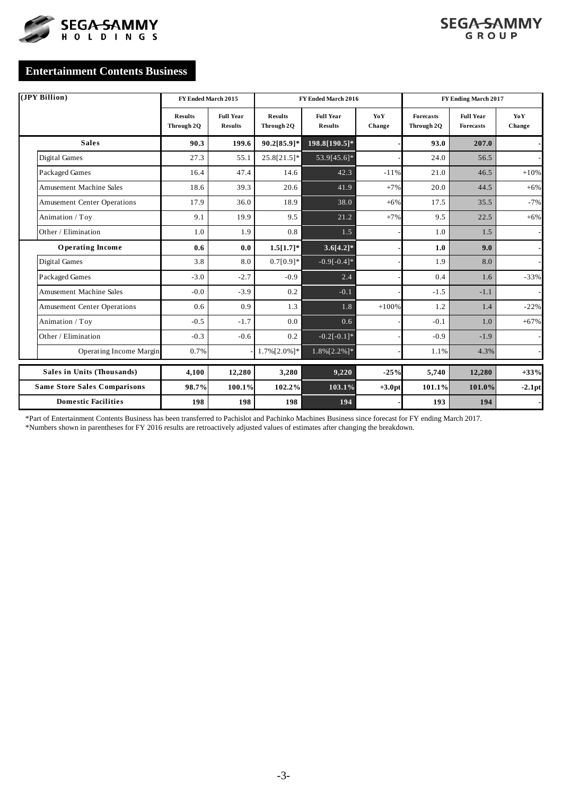



# **Entertainment Contents Business**

| (JPY Billion)                       | FY Ended March 2015          |                                    |                              | FY Ended March 2016                |               |                                | FY Ending March 2017                 |               |  |  |
|-------------------------------------|------------------------------|------------------------------------|------------------------------|------------------------------------|---------------|--------------------------------|--------------------------------------|---------------|--|--|
|                                     | <b>Results</b><br>Through 2Q | <b>Full Year</b><br><b>Results</b> | <b>Results</b><br>Through 2Q | <b>Full Year</b><br><b>Results</b> | YoY<br>Change | <b>Forecasts</b><br>Through 2Q | <b>Full Year</b><br><b>Forecasts</b> | YoY<br>Change |  |  |
| <b>Sales</b>                        | 90.3                         | 199.6                              | 90.2[85.9]*                  | $198.8[190.5]*$                    |               | 93.0                           | 207.0                                |               |  |  |
| Digital Games                       | 27.3                         | 55.1                               | 25.8[21.5]*                  | 53.9[45.6]*                        |               | 24.0                           | 56.5                                 |               |  |  |
| Packaged Games                      | 16.4                         | 47.4                               | 14.6                         | 42.3                               | $-11%$        | 21.0                           | 46.5                                 | $+10%$        |  |  |
| <b>Amusement Machine Sales</b>      | 18.6                         | 39.3                               | 20.6                         | 41.9                               | $+7%$         | 20.0                           | 44.5                                 | $+6%$         |  |  |
| <b>Amusement Center Operations</b>  | 17.9                         | 36.0                               | 18.9                         | 38.0                               | $+6%$         | 17.5                           | 35.5                                 | $-7%$         |  |  |
| Animation / Toy                     | 9.1                          | 19.9                               | 9.5                          | 21.2                               | $+7%$         | 9.5                            | 22.5                                 | $+6%$         |  |  |
| Other / Elimination                 | 1.0                          | 1.9                                | 0.8                          | 1.5                                |               | 1.0                            | 1.5                                  |               |  |  |
| <b>Operating Income</b>             | 0.6                          | 0.0                                | $1.5[1.7]*$                  | $3.6[4.2]*$                        |               | 1.0                            | 9.0                                  |               |  |  |
| Digital Games                       | 3.8                          | 8.0                                | $0.7[0.9]*$                  | $-0.9[-0.4]*$                      |               | 1.9                            | 8.0                                  |               |  |  |
| Packaged Games                      | $-3.0$                       | $-2.7$                             | $-0.9$                       | 2.4                                |               | 0.4                            | 1.6                                  | $-33%$        |  |  |
| <b>Amusement Machine Sales</b>      | $-0.0$                       | $-3.9$                             | 0.2                          | $-0.1$                             |               | $-1.5$                         | $-1.1$                               |               |  |  |
| <b>Amusement Center Operations</b>  | 0.6                          | 0.9                                | 1.3                          | 1.8                                | $+100%$       | 1.2                            | 1.4                                  | $-22%$        |  |  |
| Animation / Toy                     | $-0.5$                       | $-1.7$                             | 0.0                          | 0.6                                |               | $-0.1$                         | 1.0                                  | $+67%$        |  |  |
| Other / Elimination                 | $-0.3$                       | $-0.6$                             | 0.2                          | $-0.2[-0.1]*$                      |               | $-0.9$                         | $-1.9$                               |               |  |  |
| <b>Operating Income Margin</b>      | 0.7%                         |                                    | 1.7% [2.0%]*                 | 1.8%[2.2%]*                        |               | 1.1%                           | 4.3%                                 |               |  |  |
| Sales in Units (Thousands)          | 4,100                        | 12,280                             | 3,280                        | 9,220                              | $-25%$        | 5,740                          | 12,280                               | $+33%$        |  |  |
| <b>Same Store Sales Comparisons</b> | 98.7%                        | 100.1%                             | 102.2%                       | 103.1%                             | $+3.0pt$      | 101.1%                         | 101.0%                               | $-2.1$ pt     |  |  |
| <b>Domestic Facilities</b>          | 198                          | 198                                | 198                          | 194                                |               | 193                            | 194                                  |               |  |  |

\*Part of Entertainment Contents Business has been transferred to Pachislot and Pachinko Machines Business since forecast for FY ending March 2017. \*Numbers shown in parentheses for FY 2016 results are retroactively adjusted values of estimates after changing the breakdown.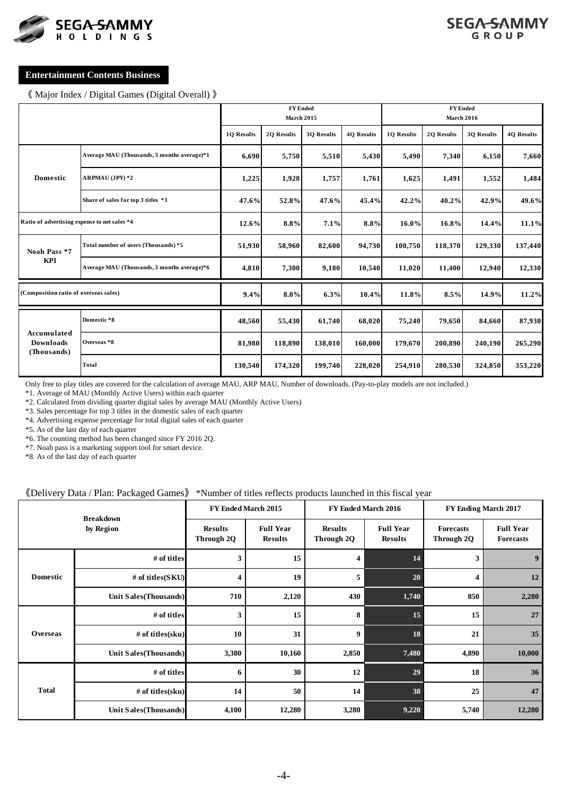



### **Entertainment Contents Business**

《 Major Index / Digital Games (Digital Overall) 》

|                                              |                                             |            | <b>FY Ended</b><br><b>March 2015</b> |                   |                   |            | <b>FY Ended</b><br><b>March 2016</b> |            |                   |
|----------------------------------------------|---------------------------------------------|------------|--------------------------------------|-------------------|-------------------|------------|--------------------------------------|------------|-------------------|
|                                              |                                             | 10 Results | 20 Results                           | <b>30 Results</b> | <b>40 Results</b> | 10 Results | 20 Results                           | 30 Results | <b>40 Results</b> |
| <b>Domestic</b>                              | Average MAU (Thousands, 3 months average)*1 | 6,690      | 5,750                                | 5,510             | 5,430             | 5,490      | 7,340                                | 6,150      | 7,660             |
|                                              | <b>ARPMAU</b> (JPY) *2                      | 1,225      | 1,928                                | 1,757             | 1,761             | 1,625      | 1,491                                | 1,552      | 1,484             |
|                                              | Share of sales for top 3 titles *3          | 47.6%      | 52.8%                                | 47.6%             | 45.4%             | 42.2%      | 40.2%                                | 42.9%      | 49.6%             |
| Ratio of advertising expense to net sales *4 |                                             | 12.6%      | 8.8%                                 | 7.1%              | 8.8%              | 16.0%      | 16.8%                                | 14.4%      | 11.1%             |
| Noah Pass *7                                 | Total number of users (Thousands) *5        | 51,930     | 58,960                               | 82,600            | 94,730            | 100,750    | 118,370                              | 129,330    | 137,440           |
| KPI                                          | Average MAU (Thousands, 3 months average)*6 | 4,810      | 7,300                                | 9,180             | 10,540            | 11,020     | 11,400                               | 12,940     | 12,330            |
| (Composition ratio of overseas sales)        |                                             | 9.4%       | $8.0\%$                              | 6.3%              | 10.4%             | 11.8%      | 8.5%                                 | 14.9%      | 11.2%             |
|                                              | Domestic *8                                 | 48,560     | 55,430                               | 61,740            | 68,020            | 75,240     | 79,650                               | 84,660     | 87,930            |
| Accumulated<br>Downloads<br>(Thousands)      | Overseas *8                                 | 81,980     | 118,890                              | 138,010           | 160,000           | 179,670    | 200,890                              | 240,190    | 265,290           |
|                                              | Total                                       | 130,540    | 174,320                              | 199,740           | 228,020           | 254,910    | 280,530                              | 324,850    | 353,220           |

Only free to play titles are covered for the calculation of average MAU, ARP MAU, Number of downloads. (Pay-to-play models are not included.)

\*1. Average of MAU (Monthly Active Users) within each quarter

\*2. Calculated from dividing quarter digital sales by average MAU (Monthly Active Users)

\*3. Sales percentage for top 3 titles in the domestic sales of each quarter

\*4. Advertising expense percentage for total digital sales of each quarter

\*5. As of the last day of each quarter

\*6. The counting method has been changed since FY 2016 2Q.

\*7. Noah pass is a marketing support tool for smart device.

\*8. As of the last day of each quarter

#### 《Delivery Data / Plan: Packaged Games》 \*Number of titles reflects products launched in this fiscal year

|                 | <b>Breakdown</b>      |       | FY Ended March 2015                |                              | FY Ended March 2016                | FY Ending March 2017           |                                      |  |
|-----------------|-----------------------|-------|------------------------------------|------------------------------|------------------------------------|--------------------------------|--------------------------------------|--|
|                 | by Region             |       | <b>Full Year</b><br><b>Results</b> | <b>Results</b><br>Through 2Q | <b>Full Year</b><br><b>Results</b> | <b>Forecasts</b><br>Through 2Q | <b>Full Year</b><br><b>Forecasts</b> |  |
| <b>Domestic</b> | # of titles           | 3     | 15                                 | 4                            | 14                                 | 3                              | $\boldsymbol{9}$                     |  |
|                 | # of titles(SKU)      | 4     | 19                                 | 5                            | 20                                 | $\overline{\mathbf{4}}$        | 12                                   |  |
|                 | Unit Sales(Thousands) | 710   | 2,120                              | 430                          | 1,740                              | 850                            | 2,280                                |  |
|                 | # of titles           | 3     | 15                                 | 8                            | 15                                 | 15                             | 27                                   |  |
| <b>Overseas</b> | # of titles(sku)      | 10    | 31                                 | 9                            | 18                                 | 21                             | 35                                   |  |
|                 | Unit Sales(Thousands) | 3,380 | 10,160                             | 2,850                        | 7,480                              | 4,890                          | 10,000                               |  |
|                 | # of titles           | 6     | 30                                 | 12                           | 29                                 | 18                             | 36                                   |  |
| <b>Total</b>    | $#$ of titles(sku)    | 14    | 50                                 | 14                           | 38                                 | 25                             | 47                                   |  |
|                 | Unit Sales(Thousands) | 4,100 | 12,280                             | 3,280                        | 9,220                              | 5,740                          | 12,280                               |  |